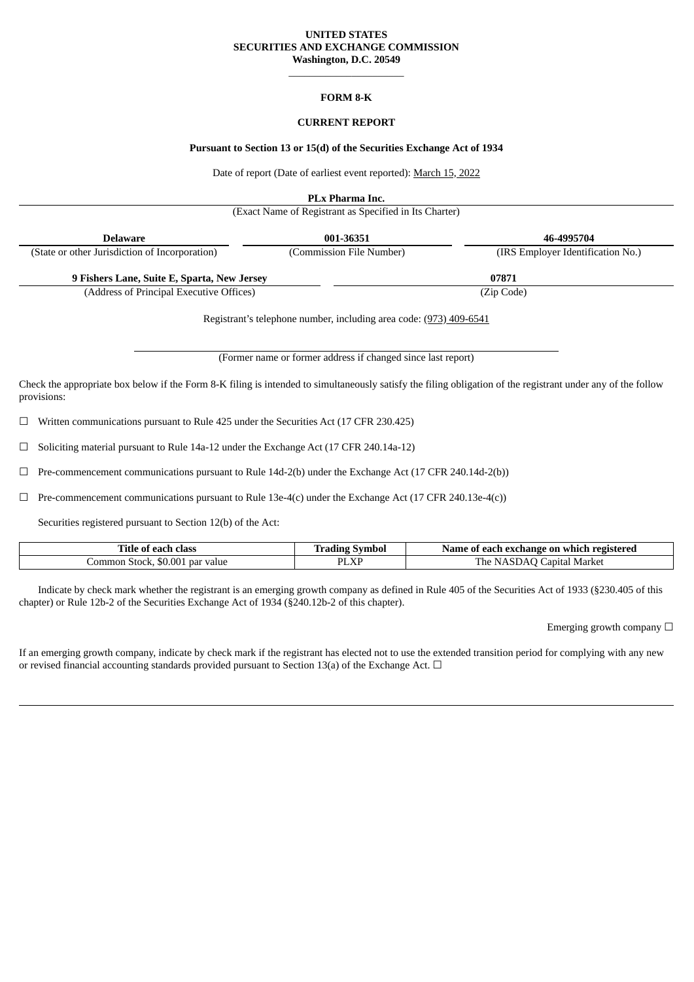### **UNITED STATES SECURITIES AND EXCHANGE COMMISSION Washington, D.C. 20549**

\_\_\_\_\_\_\_\_\_\_\_\_\_\_\_\_\_\_\_\_\_\_ **FORM 8-K**

### **CURRENT REPORT**

#### **Pursuant to Section 13 or 15(d) of the Securities Exchange Act of 1934**

Date of report (Date of earliest event reported): March 15, 2022

**PLx Pharma Inc.**

(Exact Name of Registrant as Specified in Its Charter)

| <b>Delaware</b>                                | 001-36351                                              | 46-4995704                        |  |
|------------------------------------------------|--------------------------------------------------------|-----------------------------------|--|
| (State or other Jurisdiction of Incorporation) | (Commission File Number)                               | (IRS Employer Identification No.) |  |
| 9 Fishers Lane, Suite E, Sparta, New Jersey    |                                                        | 07871                             |  |
|                                                | (Address of Principal Executive Offices)<br>(Zip Code) |                                   |  |

Registrant's telephone number, including area code: (973) 409-6541

(Former name or former address if changed since last report)

Check the appropriate box below if the Form 8-K filing is intended to simultaneously satisfy the filing obligation of the registrant under any of the follow provisions:

☐ Written communications pursuant to Rule 425 under the Securities Act (17 CFR 230.425)

☐ Soliciting material pursuant to Rule 14a-12 under the Exchange Act (17 CFR 240.14a-12)

 $\Box$  Pre-commencement communications pursuant to Rule 14d-2(b) under the Exchange Act (17 CFR 240.14d-2(b))

 $\Box$  Pre-commencement communications pursuant to Rule 13e-4(c) under the Exchange Act (17 CFR 240.13e-4(c))

Securities registered pursuant to Section 12(b) of the Act:

| Title<br>class<br>0T<br>--                                                     | Symbol<br>. . acıme - | ı exchange on<br>Name<br>registered<br>` each-<br>which<br>0T |
|--------------------------------------------------------------------------------|-----------------------|---------------------------------------------------------------|
| $\Omega$<br>$\bigwedge$<br>' value<br>Stock.<br>Common<br>par<br><b>30.001</b> | DI VI<br>'LΛI         | The<br>Market<br>apıtal<br>$\mathbf{r}$                       |

Indicate by check mark whether the registrant is an emerging growth company as defined in Rule 405 of the Securities Act of 1933 (§230.405 of this chapter) or Rule 12b-2 of the Securities Exchange Act of 1934 (§240.12b-2 of this chapter).

Emerging growth company  $\Box$ 

If an emerging growth company, indicate by check mark if the registrant has elected not to use the extended transition period for complying with any new or revised financial accounting standards provided pursuant to Section 13(a) of the Exchange Act. □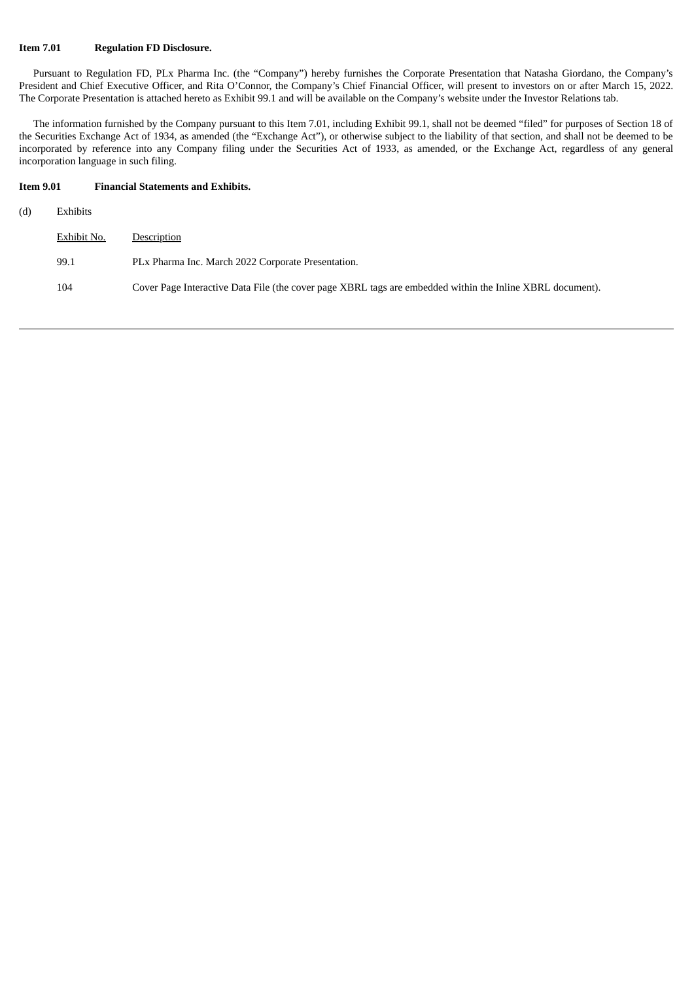### **Item 7.01 Regulation FD Disclosure.**

Pursuant to Regulation FD, PLx Pharma Inc. (the "Company") hereby furnishes the Corporate Presentation that Natasha Giordano, the Company's President and Chief Executive Officer, and Rita O'Connor, the Company's Chief Financial Officer, will present to investors on or after March 15, 2022. The Corporate Presentation is attached hereto as Exhibit 99.1 and will be available on the Company's website under the Investor Relations tab.

The information furnished by the Company pursuant to this Item 7.01, including Exhibit 99.1, shall not be deemed "filed" for purposes of Section 18 of the Securities Exchange Act of 1934, as amended (the "Exchange Act"), or otherwise subject to the liability of that section, and shall not be deemed to be incorporated by reference into any Company filing under the Securities Act of 1933, as amended, or the Exchange Act, regardless of any general incorporation language in such filing.

## **Item 9.01 Financial Statements and Exhibits.**

| (d) | Exhibits    |                                                                                                           |
|-----|-------------|-----------------------------------------------------------------------------------------------------------|
|     | Exhibit No. | Description                                                                                               |
|     | 99.1        | PLx Pharma Inc. March 2022 Corporate Presentation.                                                        |
|     | 104         | Cover Page Interactive Data File (the cover page XBRL tags are embedded within the Inline XBRL document). |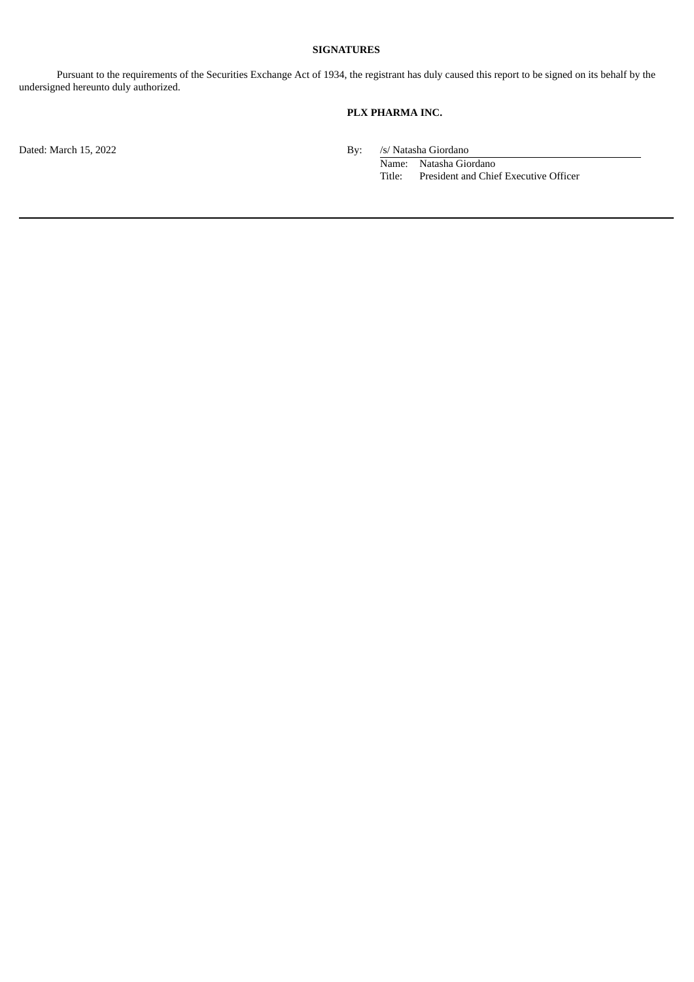### **SIGNATURES**

Pursuant to the requirements of the Securities Exchange Act of 1934, the registrant has duly caused this report to be signed on its behalf by the undersigned hereunto duly authorized.

# **PLX PHARMA INC.**

Dated: March 15, 2022 By:

/s/ Natasha Giordano<br>Name: Natasha Giordano Title: President and Chief Executive Officer